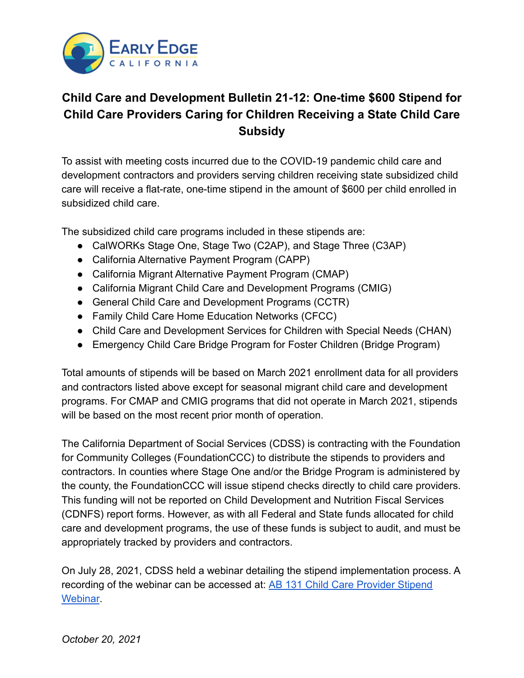

## **Child Care and Development Bulletin 21-12: One-time \$600 Stipend for Child Care Providers Caring for Children Receiving a State Child Care Subsidy**

To assist with meeting costs incurred due to the COVID-19 pandemic child care and development contractors and providers serving children receiving state subsidized child care will receive a flat-rate, one-time stipend in the amount of \$600 per child enrolled in subsidized child care.

The subsidized child care programs included in these stipends are:

- CalWORKs Stage One, Stage Two (C2AP), and Stage Three (C3AP)
- California Alternative Payment Program (CAPP)
- California Migrant Alternative Payment Program (CMAP)
- California Migrant Child Care and Development Programs (CMIG)
- General Child Care and Development Programs (CCTR)
- Family Child Care Home Education Networks (CFCC)
- Child Care and Development Services for Children with Special Needs (CHAN)
- Emergency Child Care Bridge Program for Foster Children (Bridge Program)

Total amounts of stipends will be based on March 2021 enrollment data for all providers and contractors listed above except for seasonal migrant child care and development programs. For CMAP and CMIG programs that did not operate in March 2021, stipends will be based on the most recent prior month of operation.

The California Department of Social Services (CDSS) is contracting with the Foundation for Community Colleges (FoundationCCC) to distribute the stipends to providers and contractors. In counties where Stage One and/or the Bridge Program is administered by the county, the FoundationCCC will issue stipend checks directly to child care providers. This funding will not be reported on Child Development and Nutrition Fiscal Services (CDNFS) report forms. However, as with all Federal and State funds allocated for child care and development programs, the use of these funds is subject to audit, and must be appropriately tracked by providers and contractors.

On July 28, 2021, CDSS held a webinar detailing the stipend implementation process. A recording of the webinar can be accessed at: AB 131 [Child Care Provider Stipend](https://www.youtube.com/watch?v=hnx8D4cY3ds&t=2916s) [Webinar](https://www.youtube.com/watch?v=hnx8D4cY3ds&t=2916s).